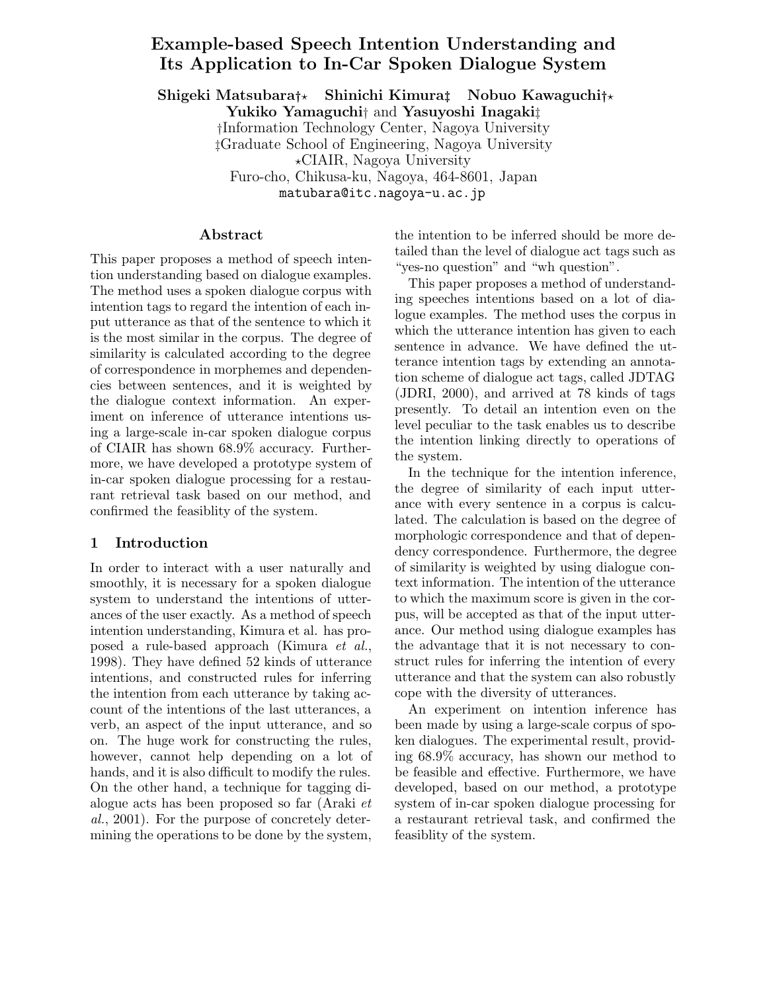# **Example-based Speech Intention Understanding and Its Application to In-Car Spoken Dialogue System**

**Shigeki Matsubara***†* **Shinichi Kimura***‡* **Nobuo Kawaguchi***†* **Yukiko Yamaguchi**† and **Yasuyoshi Inagaki**‡ †Information Technology Center, Nagoya University ‡Graduate School of Engineering, Nagoya University CIAIR, Nagoya University Furo-cho, Chikusa-ku, Nagoya, 464-8601, Japan matubara@itc.nagoya-u.ac.jp

### **Abstract**

This paper proposes a method of speech intention understanding based on dialogue examples. The method uses a spoken dialogue corpus with intention tags to regard the intention of each input utterance as that of the sentence to which it is the most similar in the corpus. The degree of similarity is calculated according to the degree of correspondence in morphemes and dependencies between sentences, and it is weighted by the dialogue context information. An experiment on inference of utterance intentions using a large-scale in-car spoken dialogue corpus of CIAIR has shown 68.9% accuracy. Furthermore, we have developed a prototype system of in-car spoken dialogue processing for a restaurant retrieval task based on our method, and confirmed the feasiblity of the system.

## **1 Introduction**

In order to interact with a user naturally and smoothly, it is necessary for a spoken dialogue system to understand the intentions of utterances of the user exactly. As a method of speech intention understanding, Kimura et al. has proposed a rule-based approach (Kimura *et al.*, 1998). They have defined 52 kinds of utterance intentions, and constructed rules for inferring the intention from each utterance by taking account of the intentions of the last utterances, a verb, an aspect of the input utterance, and so on. The huge work for constructing the rules, however, cannot help depending on a lot of hands, and it is also difficult to modify the rules. On the other hand, a technique for tagging dialogue acts has been proposed so far (Araki *et al.*, 2001). For the purpose of concretely determining the operations to be done by the system, the intention to be inferred should be more detailed than the level of dialogue act tags such as "yes-no question" and "wh question".

This paper proposes a method of understanding speeches intentions based on a lot of dialogue examples. The method uses the corpus in which the utterance intention has given to each sentence in advance. We have defined the utterance intention tags by extending an annotation scheme of dialogue act tags, called JDTAG (JDRI, 2000), and arrived at 78 kinds of tags presently. To detail an intention even on the level peculiar to the task enables us to describe the intention linking directly to operations of the system.

In the technique for the intention inference, the degree of similarity of each input utterance with every sentence in a corpus is calculated. The calculation is based on the degree of morphologic correspondence and that of dependency correspondence. Furthermore, the degree of similarity is weighted by using dialogue context information. The intention of the utterance to which the maximum score is given in the corpus, will be accepted as that of the input utterance. Our method using dialogue examples has the advantage that it is not necessary to construct rules for inferring the intention of every utterance and that the system can also robustly cope with the diversity of utterances.

An experiment on intention inference has been made by using a large-scale corpus of spoken dialogues. The experimental result, providing 68.9% accuracy, has shown our method to be feasible and effective. Furthermore, we have developed, based on our method, a prototype system of in-car spoken dialogue processing for a restaurant retrieval task, and confirmed the feasiblity of the system.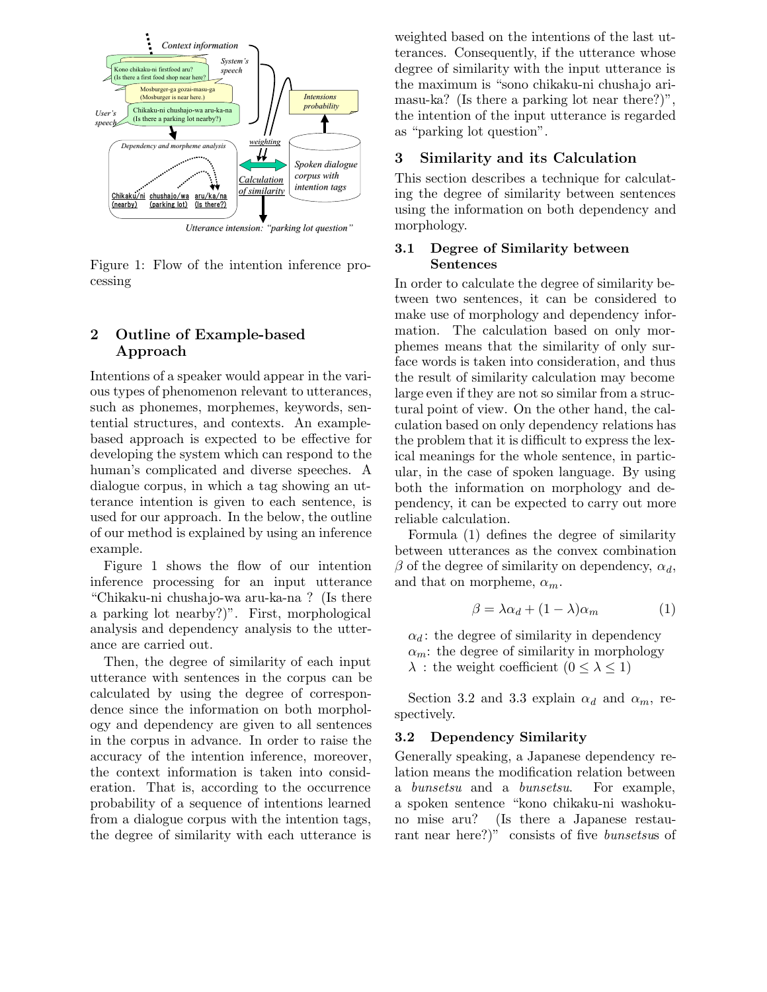

Figure 1: Flow of the intention inference processing

## **2 Outline of Example-based Approach**

Intentions of a speaker would appear in the various types of phenomenon relevant to utterances, such as phonemes, morphemes, keywords, sentential structures, and contexts. An examplebased approach is expected to be effective for developing the system which can respond to the human's complicated and diverse speeches. A dialogue corpus, in which a tag showing an utterance intention is given to each sentence, is used for our approach. In the below, the outline of our method is explained by using an inference example.

Figure 1 shows the flow of our intention inference processing for an input utterance "Chikaku-ni chushajo-wa aru-ka-na ? (Is there a parking lot nearby?)". First, morphological analysis and dependency analysis to the utterance are carried out.

Then, the degree of similarity of each input utterance with sentences in the corpus can be calculated by using the degree of correspondence since the information on both morphology and dependency are given to all sentences in the corpus in advance. In order to raise the accuracy of the intention inference, moreover, the context information is taken into consideration. That is, according to the occurrence probability of a sequence of intentions learned from a dialogue corpus with the intention tags, the degree of similarity with each utterance is weighted based on the intentions of the last utterances. Consequently, if the utterance whose degree of similarity with the input utterance is the maximum is "sono chikaku-ni chushajo arimasu-ka? (Is there a parking lot near there?)", the intention of the input utterance is regarded as "parking lot question".

## **3 Similarity and its Calculation**

This section describes a technique for calculating the degree of similarity between sentences using the information on both dependency and morphology.

#### **3.1 Degree of Similarity between Sentences**

In order to calculate the degree of similarity between two sentences, it can be considered to make use of morphology and dependency information. The calculation based on only morphemes means that the similarity of only surface words is taken into consideration, and thus the result of similarity calculation may become large even if they are not so similar from a structural point of view. On the other hand, the calculation based on only dependency relations has the problem that it is difficult to express the lexical meanings for the whole sentence, in particular, in the case of spoken language. By using both the information on morphology and dependency, it can be expected to carry out more reliable calculation.

Formula (1) defines the degree of similarity between utterances as the convex combination β of the degree of similarity on dependency, α*d*, and that on morpheme,  $\alpha_m$ .

$$
\beta = \lambda \alpha_d + (1 - \lambda)\alpha_m \tag{1}
$$

 $\alpha_d$ : the degree of similarity in dependency  $\alpha_m$ : the degree of similarity in morphology  $\lambda$ : the weight coefficient  $(0 \leq \lambda \leq 1)$ 

Section 3.2 and 3.3 explain  $\alpha_d$  and  $\alpha_m$ , respectively.

### **3.2 Dependency Similarity**

Generally speaking, a Japanese dependency relation means the modification relation between a *bunsetsu* and a *bunsetsu*. For example, a spoken sentence "kono chikaku-ni washokuno mise aru? (Is there a Japanese restaurant near here?)" consists of five *bunsetsu*s of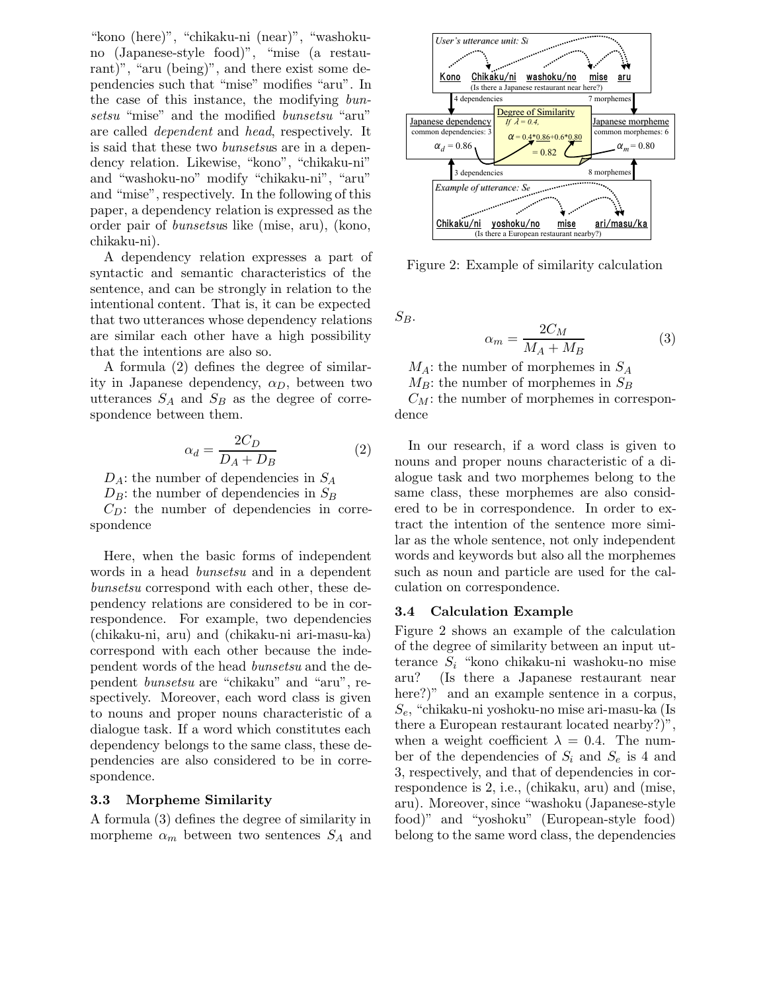"kono (here)", "chikaku-ni (near)", "washokuno (Japanese-style food)", "mise (a restaurant)", "aru (being)", and there exist some dependencies such that "mise" modifies "aru". In the case of this instance, the modifying *bunsetsu* "mise" and the modified *bunsetsu* "aru" are called *dependent* and *head*, respectively. It is said that these two *bunsetsu*s are in a dependency relation. Likewise, "kono", "chikaku-ni" and "washoku-no" modify "chikaku-ni", "aru" and "mise", respectively. In the following of this paper, a dependency relation is expressed as the order pair of *bunsetsu*s like (mise, aru), (kono, chikaku-ni).

A dependency relation expresses a part of syntactic and semantic characteristics of the sentence, and can be strongly in relation to the intentional content. That is, it can be expected that two utterances whose dependency relations are similar each other have a high possibility that the intentions are also so.

A formula (2) defines the degree of similarity in Japanese dependency,  $\alpha_D$ , between two utterances  $S_A$  and  $S_B$  as the degree of correspondence between them.

$$
\alpha_d = \frac{2C_D}{D_A + D_B} \tag{2}
$$

D*A*: the number of dependencies in S*A*

 $D_B$ : the number of dependencies in  $S_B$ 

 $C_D$ : the number of dependencies in correspondence

Here, when the basic forms of independent words in a head *bunsetsu* and in a dependent *bunsetsu* correspond with each other, these dependency relations are considered to be in correspondence. For example, two dependencies (chikaku-ni, aru) and (chikaku-ni ari-masu-ka) correspond with each other because the independent words of the head *bunsetsu* and the dependent *bunsetsu* are "chikaku" and "aru", respectively. Moreover, each word class is given to nouns and proper nouns characteristic of a dialogue task. If a word which constitutes each dependency belongs to the same class, these dependencies are also considered to be in correspondence.

#### **3.3 Morpheme Similarity**

A formula (3) defines the degree of similarity in morpheme  $\alpha_m$  between two sentences  $S_A$  and



Figure 2: Example of similarity calculation

 $S_B$ .

$$
\alpha_m = \frac{2C_M}{M_A + M_B} \tag{3}
$$

 $M_A$ : the number of morphemes in  $S_A$  $M_B$ : the number of morphemes in  $S_B$ 

 $C_M$ : the number of morphemes in correspondence

In our research, if a word class is given to nouns and proper nouns characteristic of a dialogue task and two morphemes belong to the same class, these morphemes are also considered to be in correspondence. In order to extract the intention of the sentence more similar as the whole sentence, not only independent words and keywords but also all the morphemes such as noun and particle are used for the calculation on correspondence.

### **3.4 Calculation Example**

Figure 2 shows an example of the calculation of the degree of similarity between an input utterance S*i* "kono chikaku-ni washoku-no mise aru? (Is there a Japanese restaurant near here?)" and an example sentence in a corpus, S*e*, "chikaku-ni yoshoku-no mise ari-masu-ka (Is there a European restaurant located nearby?)", when a weight coefficient  $\lambda = 0.4$ . The number of the dependencies of  $S_i$  and  $S_e$  is 4 and 3, respectively, and that of dependencies in correspondence is 2, i.e., (chikaku, aru) and (mise, aru). Moreover, since "washoku (Japanese-style food)" and "yoshoku" (European-style food) belong to the same word class, the dependencies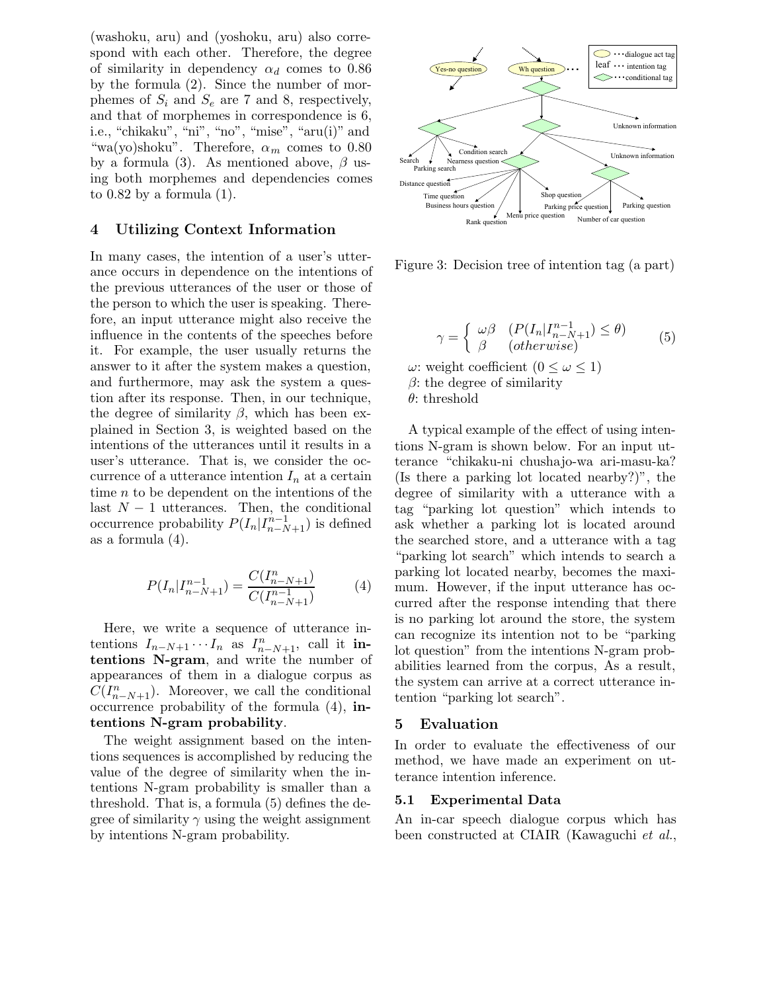(washoku, aru) and (yoshoku, aru) also correspond with each other. Therefore, the degree of similarity in dependency  $\alpha_d$  comes to 0.86 by the formula (2). Since the number of morphemes of  $S_i$  and  $S_e$  are 7 and 8, respectively, and that of morphemes in correspondence is 6, i.e., "chikaku", "ni", "no", "mise", "aru(i)" and "wa(yo)shoku". Therefore,  $\alpha_m$  comes to 0.80" by a formula (3). As mentioned above,  $\beta$  using both morphemes and dependencies comes to  $0.82$  by a formula  $(1)$ .

### **4 Utilizing Context Information**

In many cases, the intention of a user's utterance occurs in dependence on the intentions of the previous utterances of the user or those of the person to which the user is speaking. Therefore, an input utterance might also receive the influence in the contents of the speeches before it. For example, the user usually returns the answer to it after the system makes a question, and furthermore, may ask the system a question after its response. Then, in our technique, the degree of similarity  $\beta$ , which has been explained in Section 3, is weighted based on the intentions of the utterances until it results in a user's utterance. That is, we consider the occurrence of a utterance intention  $I_n$  at a certain time n to be dependent on the intentions of the last  $N-1$  utterances. Then, the conditional occurrence probability  $P(I_n|I_{n-N+1}^{n-1})$  is defined as a formula (4).

$$
P(I_n | I_{n-N+1}^{n-1}) = \frac{C(I_{n-N+1}^n)}{C(I_{n-N+1}^{n-1})}
$$
(4)

Here, we write a sequence of utterance intentions  $I_{n-N+1} \cdots I_n$  as  $I_{n-N+1}^n$ , call it **intentions N-gram**, and write the number of appearances of them in a dialogue corpus as  $C(I_{n-N+1}^n)$ . Moreover, we call the conditional occurrence probability of the formula (4), **intentions N-gram probability**.

The weight assignment based on the intentions sequences is accomplished by reducing the value of the degree of similarity when the intentions N-gram probability is smaller than a threshold. That is, a formula (5) defines the degree of similarity  $\gamma$  using the weight assignment by intentions N-gram probability.



Figure 3: Decision tree of intention tag (a part)

$$
\gamma = \begin{cases} \omega \beta & (P(I_n | I_{n-N+1}^{n-1}) \le \theta) \\ \beta & (otherwise) \end{cases} \tag{5}
$$

ω: weight coefficient (0 ≤ ω ≤ 1)  $\beta$ : the degree of similarity

 $\theta$ : threshold

A typical example of the effect of using intentions N-gram is shown below. For an input utterance "chikaku-ni chushajo-wa ari-masu-ka? (Is there a parking lot located nearby?)", the degree of similarity with a utterance with a tag "parking lot question" which intends to ask whether a parking lot is located around the searched store, and a utterance with a tag "parking lot search" which intends to search a parking lot located nearby, becomes the maximum. However, if the input utterance has occurred after the response intending that there is no parking lot around the store, the system can recognize its intention not to be "parking lot question" from the intentions N-gram probabilities learned from the corpus, As a result, the system can arrive at a correct utterance intention "parking lot search".

#### **5 Evaluation**

In order to evaluate the effectiveness of our method, we have made an experiment on utterance intention inference.

#### **5.1 Experimental Data**

An in-car speech dialogue corpus which has been constructed at CIAIR (Kawaguchi *et al.*,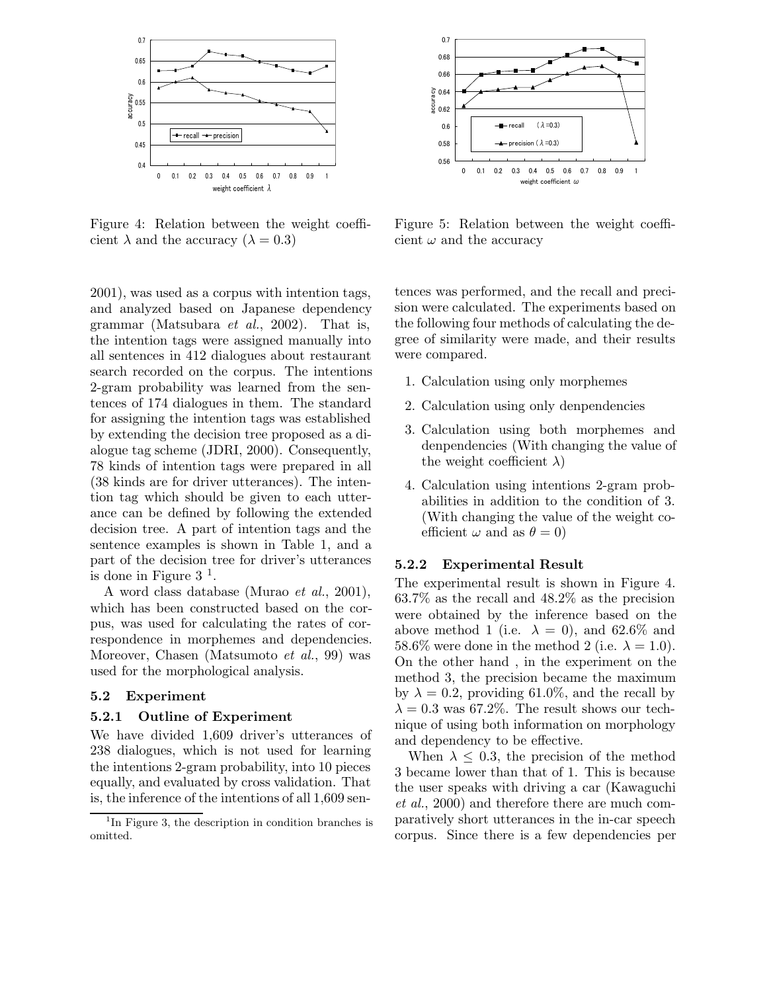

Figure 4: Relation between the weight coefficient  $\lambda$  and the accuracy  $(\lambda = 0.3)$ 

2001), was used as a corpus with intention tags, and analyzed based on Japanese dependency grammar (Matsubara *et al.*, 2002). That is, the intention tags were assigned manually into all sentences in 412 dialogues about restaurant search recorded on the corpus. The intentions 2-gram probability was learned from the sentences of 174 dialogues in them. The standard for assigning the intention tags was established by extending the decision tree proposed as a dialogue tag scheme (JDRI, 2000). Consequently, 78 kinds of intention tags were prepared in all (38 kinds are for driver utterances). The intention tag which should be given to each utterance can be defined by following the extended decision tree. A part of intention tags and the sentence examples is shown in Table 1, and a part of the decision tree for driver's utterances is done in Figure  $3<sup>1</sup>$ .

A word class database (Murao *et al.*, 2001), which has been constructed based on the corpus, was used for calculating the rates of correspondence in morphemes and dependencies. Moreover, Chasen (Matsumoto *et al.*, 99) was used for the morphological analysis.

#### **5.2 Experiment**

#### **5.2.1 Outline of Experiment**

We have divided 1,609 driver's utterances of 238 dialogues, which is not used for learning the intentions 2-gram probability, into 10 pieces equally, and evaluated by cross validation. That is, the inference of the intentions of all 1,609 sen-



Figure 5: Relation between the weight coefficient  $\omega$  and the accuracy

tences was performed, and the recall and precision were calculated. The experiments based on the following four methods of calculating the degree of similarity were made, and their results were compared.

- 1. Calculation using only morphemes
- 2. Calculation using only denpendencies
- 3. Calculation using both morphemes and denpendencies (With changing the value of the weight coefficient  $\lambda$ )
- 4. Calculation using intentions 2-gram probabilities in addition to the condition of 3. (With changing the value of the weight coefficient  $\omega$  and as  $\theta = 0$ )

#### **5.2.2 Experimental Result**

The experimental result is shown in Figure 4. 63.7% as the recall and 48.2% as the precision were obtained by the inference based on the above method 1 (i.e.  $\lambda = 0$ ), and 62.6% and 58.6% were done in the method 2 (i.e.  $\lambda = 1.0$ ). On the other hand , in the experiment on the method 3, the precision became the maximum by  $\lambda = 0.2$ , providing 61.0%, and the recall by  $\lambda = 0.3$  was 67.2%. The result shows our technique of using both information on morphology and dependency to be effective.

When  $\lambda \leq 0.3$ , the precision of the method 3 became lower than that of 1. This is because the user speaks with driving a car (Kawaguchi *et al.*, 2000) and therefore there are much comparatively short utterances in the in-car speech corpus. Since there is a few dependencies per

 $1$ In Figure 3, the description in condition branches is omitted.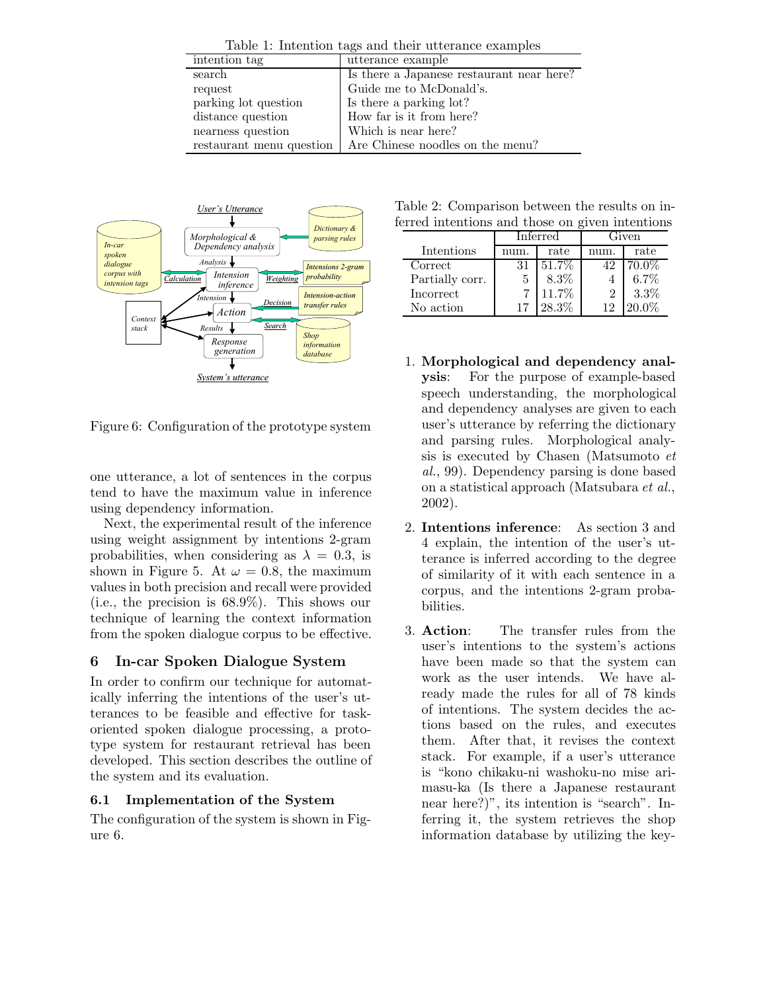|           | Table 1: Intention tags and their utterance examples |
|-----------|------------------------------------------------------|
| ntion tag | utterance example                                    |

| intention tag            | utterance example                         |
|--------------------------|-------------------------------------------|
| search                   | Is there a Japanese restaurant near here? |
| request                  | Guide me to McDonald's.                   |
| parking lot question     | Is there a parking lot?                   |
| distance question        | How far is it from here?                  |
| nearness question        | Which is near here?                       |
| restaurant menu question | Are Chinese noodles on the menu?          |



Figure 6: Configuration of the prototype system

one utterance, a lot of sentences in the corpus tend to have the maximum value in inference using dependency information.

Next, the experimental result of the inference using weight assignment by intentions 2-gram probabilities, when considering as  $\lambda = 0.3$ , is shown in Figure 5. At  $\omega = 0.8$ , the maximum values in both precision and recall were provided (i.e., the precision is 68.9%). This shows our technique of learning the context information from the spoken dialogue corpus to be effective.

# **6 In-car Spoken Dialogue System**

In order to confirm our technique for automatically inferring the intentions of the user's utterances to be feasible and effective for taskoriented spoken dialogue processing, a prototype system for restaurant retrieval has been developed. This section describes the outline of the system and its evaluation.

# **6.1 Implementation of the System**

The configuration of the system is shown in Figure 6.

Table 2: Comparison between the results on inferred intentions and those on given intentions

|                 | Inferred |       | Given |         |  |
|-----------------|----------|-------|-------|---------|--|
| Intentions      |          | rate  |       | rate    |  |
| Correct         | 31       | 51.7% | 42    | 70.0%   |  |
| Partially corr. | 5        | 8.3%  |       | $6.7\%$ |  |
| Incorrect       |          | 11.7% |       | 3.3%    |  |
| No action       |          | 28.3% |       | $0\%$   |  |

- 1. **Morphological and dependency analysis**: For the purpose of example-based speech understanding, the morphological and dependency analyses are given to each user's utterance by referring the dictionary and parsing rules. Morphological analysis is executed by Chasen (Matsumoto *et al.*, 99). Dependency parsing is done based on a statistical approach (Matsubara *et al.*, 2002).
- 2. **Intentions inference**: As section 3 and 4 explain, the intention of the user's utterance is inferred according to the degree of similarity of it with each sentence in a corpus, and the intentions 2-gram probabilities.
- 3. **Action**: The transfer rules from the user's intentions to the system's actions have been made so that the system can work as the user intends. We have already made the rules for all of 78 kinds of intentions. The system decides the actions based on the rules, and executes them. After that, it revises the context stack. For example, if a user's utterance is "kono chikaku-ni washoku-no mise arimasu-ka (Is there a Japanese restaurant near here?)", its intention is "search". Inferring it, the system retrieves the shop information database by utilizing the key-